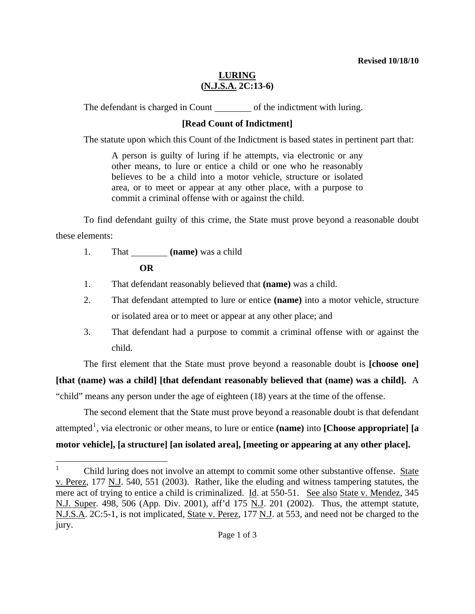## **LURING (N.J.S.A. 2C:13-6)**

The defendant is charged in Count of the indictment with luring.

## **[Read Count of Indictment]**

The statute upon which this Count of the Indictment is based states in pertinent part that:

A person is guilty of luring if he attempts, via electronic or any other means, to lure or entice a child or one who he reasonably believes to be a child into a motor vehicle, structure or isolated area, or to meet or appear at any other place, with a purpose to commit a criminal offense with or against the child.

 To find defendant guilty of this crime, the State must prove beyond a reasonable doubt these elements:

1. That **(name)** was a child

**OR** 

- 1. That defendant reasonably believed that **(name)** was a child.
- 2. That defendant attempted to lure or entice **(name)** into a motor vehicle, structure or isolated area or to meet or appear at any other place; and
- 3. That defendant had a purpose to commit a criminal offense with or against the child.

The first element that the State must prove beyond a reasonable doubt is **[choose one]**

**[that (name) was a child] [that defendant reasonably believed that (name) was a child].** A

"child" means any person under the age of eighteen (18) years at the time of the offense.

 The second element that the State must prove beyond a reasonable doubt is that defendant attempted<sup>[1](#page-0-0)</sup>, via electronic or other means, to lure or entice (name) into [Choose appropriate] [a **motor vehicle], [a structure] [an isolated area], [meeting or appearing at any other place].**

<span id="page-0-1"></span><span id="page-0-0"></span> $\frac{1}{1}$  Child luring does not involve an attempt to commit some other substantive offense. State v. Perez, 177 N.J. 540, 551 (2003). Rather, like the eluding and witness tampering statutes, the mere act of trying to entice a child is criminalized. Id. at 550-51. See also State v. Mendez, 345 N.J. Super. 498, 506 (App. Div. 2001), aff'd 175 N.J. 201 (2002).Thus, the attempt statute, N.J.S.A. 2C:5-1, is not implicated, State v. Perez, 177 N.J. at 553, and need not be charged to the jury.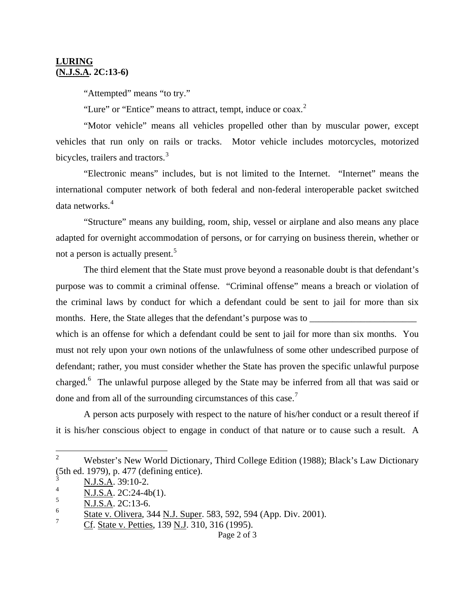## **LURING (N.J.S.A. 2C:13-6)**

"Attempted" means "to try."

"Lure" or "Entice" means to attract, tempt, induce or  $coax<sup>2</sup>$  $coax<sup>2</sup>$  $coax<sup>2</sup>$ 

 "Motor vehicle" means all vehicles propelled other than by muscular power, except vehicles that run only on rails or tracks. Motor vehicle includes motorcycles, motorized bicycles, trailers and tractors.<sup>[3](#page-1-0)</sup>

"Electronic means" includes, but is not limited to the Internet. "Internet" means the international computer network of both federal and non-federal interoperable packet switched data networks.<sup>[4](#page-1-1)</sup>

"Structure" means any building, room, ship, vessel or airplane and also means any place adapted for overnight accommodation of persons, or for carrying on business therein, whether or not a person is actually present.<sup>[5](#page-1-2)</sup>

The third element that the State must prove beyond a reasonable doubt is that defendant's purpose was to commit a criminal offense. "Criminal offense" means a breach or violation of the criminal laws by conduct for which a defendant could be sent to jail for more than six months. Here, the State alleges that the defendant's purpose was to

which is an offense for which a defendant could be sent to jail for more than six months. You must not rely upon your own notions of the unlawfulness of some other undescribed purpose of defendant; rather, you must consider whether the State has proven the specific unlawful purpose charged.<sup>[6](#page-1-3)</sup> The unlawful purpose alleged by the State may be inferred from all that was said or done and from all of the surrounding circumstances of this case.<sup>[7](#page-1-4)</sup>

 A person acts purposely with respect to the nature of his/her conduct or a result thereof if it is his/her conscious object to engage in conduct of that nature or to cause such a result. A

 $\frac{1}{2}$  Webster's New World Dictionary, Third College Edition (1988); Black's Law Dictionary (5th ed. 1979), p. 477 (defining entice).

N.J.S.A. 39:10-2.

<span id="page-1-1"></span><span id="page-1-0"></span><sup>4</sup> N.J.S.A. 2C:24-4b(1).

<span id="page-1-2"></span><sup>5</sup> N.J.S.A. 2C:13-6.

<span id="page-1-3"></span><sup>6</sup> State v. Olivera, 344 N.J. Super. 583, 592, 594 (App. Div. 2001).

<span id="page-1-4"></span><sup>7</sup> Cf. State v. Petties, 139 N.J. 310, 316 (1995).

Page 2 of 3